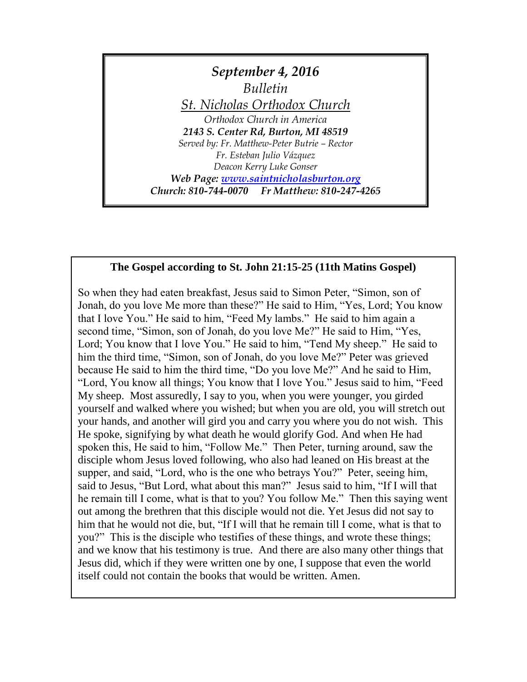

#### **The Gospel according to St. John 21:15-25 (11th Matins Gospel)**

So when they had eaten breakfast, Jesus said to Simon Peter, "Simon, son of Jonah, do you love Me more than these?" He said to Him, "Yes, Lord; You know that I love You." He said to him, "Feed My lambs." He said to him again a second time, "Simon, son of Jonah, do you love Me?" He said to Him, "Yes, Lord; You know that I love You." He said to him, "Tend My sheep." He said to him the third time, "Simon, son of Jonah, do you love Me?" Peter was grieved because He said to him the third time, "Do you love Me?" And he said to Him, "Lord, You know all things; You know that I love You." Jesus said to him, "Feed My sheep. Most assuredly, I say to you, when you were younger, you girded yourself and walked where you wished; but when you are old, you will stretch out your hands, and another will gird you and carry you where you do not wish. This He spoke, signifying by what death he would glorify God. And when He had spoken this, He said to him, "Follow Me." Then Peter, turning around, saw the disciple whom Jesus loved following, who also had leaned on His breast at the supper, and said, "Lord, who is the one who betrays You?" Peter, seeing him, said to Jesus, "But Lord, what about this man?" Jesus said to him, "If I will that he remain till I come, what is that to you? You follow Me." Then this saying went out among the brethren that this disciple would not die. Yet Jesus did not say to him that he would not die, but, "If I will that he remain till I come, what is that to you?" This is the disciple who testifies of these things, and wrote these things; and we know that his testimony is true. And there are also many other things that Jesus did, which if they were written one by one, I suppose that even the world itself could not contain the books that would be written. Amen.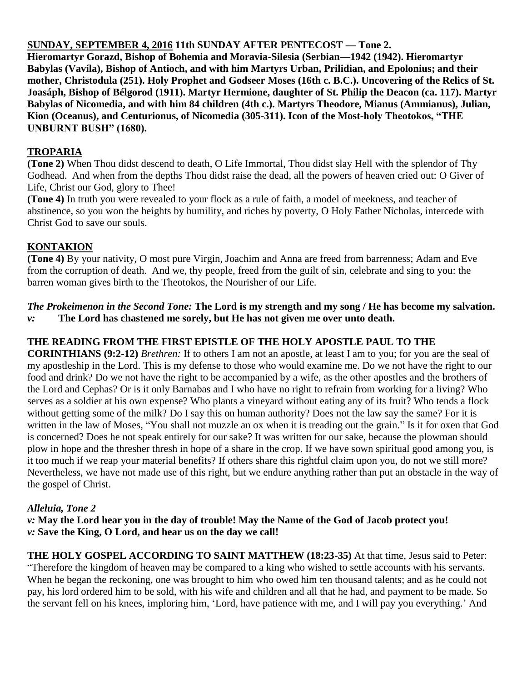### **SUNDAY, SEPTEMBER 4, 2016 11th SUNDAY AFTER PENTECOST — Tone 2.**

**Hieromartyr Gorazd, Bishop of Bohemia and Moravia-Silesia (Serbian—1942 (1942). Hieromartyr Babylas (Vavíla), Bishop of Antioch, and with him Martyrs Urban, Prilidian, and Epolonius; and their mother, Christodula (251). Holy Prophet and Godseer Moses (16th c. B.C.). Uncovering of the Relics of St. Joasáph, Bishop of Bélgorod (1911). Martyr Hermione, daughter of St. Philip the Deacon (ca. 117). Martyr Babylas of Nicomedia, and with him 84 children (4th c.). Martyrs Theodore, Mianus (Ammianus), Julian, Kion (Oceanus), and Centurionus, of Nicomedia (305-311). Icon of the Most-holy Theotokos, "THE UNBURNT BUSH" (1680).**

# **TROPARIA**

**(Tone 2)** When Thou didst descend to death, O Life Immortal, Thou didst slay Hell with the splendor of Thy Godhead. And when from the depths Thou didst raise the dead, all the powers of heaven cried out: O Giver of Life, Christ our God, glory to Thee!

**(Tone 4)** In truth you were revealed to your flock as a rule of faith, a model of meekness, and teacher of abstinence, so you won the heights by humility, and riches by poverty, O Holy Father Nicholas, intercede with Christ God to save our souls.

## **KONTAKION**

**(Tone 4)** By your nativity, O most pure Virgin, Joachim and Anna are freed from barrenness; Adam and Eve from the corruption of death. And we, thy people, freed from the guilt of sin, celebrate and sing to you: the barren woman gives birth to the Theotokos, the Nourisher of our Life.

#### *The Prokeimenon in the Second Tone:* **The Lord is my strength and my song / He has become my salvation.** *v:* **The Lord has chastened me sorely, but He has not given me over unto death.**

# **THE READING FROM THE FIRST EPISTLE OF THE HOLY APOSTLE PAUL TO THE**

**CORINTHIANS (9:2-12)** *Brethren:* If to others I am not an apostle, at least I am to you; for you are the seal of my apostleship in the Lord. This is my defense to those who would examine me. Do we not have the right to our food and drink? Do we not have the right to be accompanied by a wife, as the other apostles and the brothers of the Lord and Cephas? Or is it only Barnabas and I who have no right to refrain from working for a living? Who serves as a soldier at his own expense? Who plants a vineyard without eating any of its fruit? Who tends a flock without getting some of the milk? Do I say this on human authority? Does not the law say the same? For it is written in the law of Moses, "You shall not muzzle an ox when it is treading out the grain." Is it for oxen that God is concerned? Does he not speak entirely for our sake? It was written for our sake, because the plowman should plow in hope and the thresher thresh in hope of a share in the crop. If we have sown spiritual good among you, is it too much if we reap your material benefits? If others share this rightful claim upon you, do not we still more? Nevertheless, we have not made use of this right, but we endure anything rather than put an obstacle in the way of the gospel of Christ.

# *Alleluia, Tone 2*

*v:* **May the Lord hear you in the day of trouble! May the Name of the God of Jacob protect you!** *v:* **Save the King, O Lord, and hear us on the day we call!**

**THE HOLY GOSPEL ACCORDING TO SAINT MATTHEW (18:23-35)** At that time, Jesus said to Peter: "Therefore the kingdom of heaven may be compared to a king who wished to settle accounts with his servants. When he began the reckoning, one was brought to him who owed him ten thousand talents; and as he could not pay, his lord ordered him to be sold, with his wife and children and all that he had, and payment to be made. So the servant fell on his knees, imploring him, 'Lord, have patience with me, and I will pay you everything.' And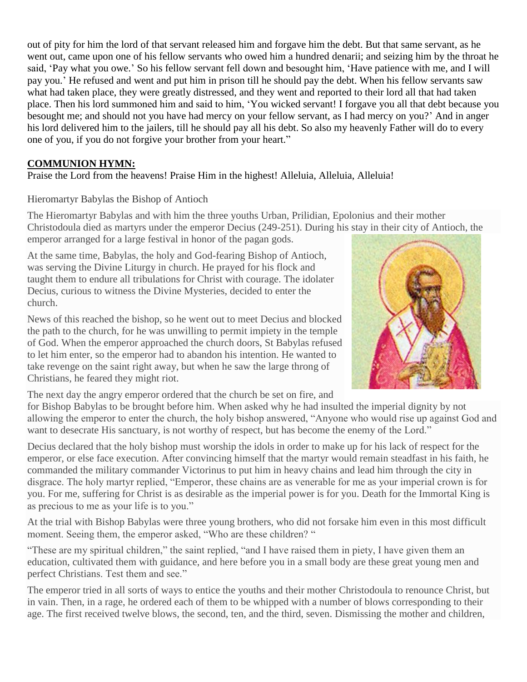out of pity for him the lord of that servant released him and forgave him the debt. But that same servant, as he went out, came upon one of his fellow servants who owed him a hundred denarii; and seizing him by the throat he said, 'Pay what you owe.' So his fellow servant fell down and besought him, 'Have patience with me, and I will pay you.' He refused and went and put him in prison till he should pay the debt. When his fellow servants saw what had taken place, they were greatly distressed, and they went and reported to their lord all that had taken place. Then his lord summoned him and said to him, 'You wicked servant! I forgave you all that debt because you besought me; and should not you have had mercy on your fellow servant, as I had mercy on you?' And in anger his lord delivered him to the jailers, till he should pay all his debt. So also my heavenly Father will do to every one of you, if you do not forgive your brother from your heart."

## **COMMUNION HYMN:**

Praise the Lord from the heavens! Praise Him in the highest! Alleluia, Alleluia, Alleluia!

Hieromartyr Babylas the Bishop of Antioch

The Hieromartyr Babylas and with him the three youths Urban, Prilidian, Epolonius and their mother Christodoula died as martyrs under the emperor Decius (249-251). During his stay in their city of Antioch, the emperor arranged for a large festival in honor of the pagan gods.

At the same time, Babylas, the holy and God-fearing Bishop of Antioch, was serving the Divine Liturgy in church. He prayed for his flock and taught them to endure all tribulations for Christ with courage. The idolater Decius, curious to witness the Divine Mysteries, decided to enter the church.

News of this reached the bishop, so he went out to meet Decius and blocked the path to the church, for he was unwilling to permit impiety in the temple of God. When the emperor approached the church doors, St Babylas refused to let him enter, so the emperor had to abandon his intention. He wanted to take revenge on the saint right away, but when he saw the large throng of Christians, he feared they might riot.



The next day the angry emperor ordered that the church be set on fire, and

for Bishop Babylas to be brought before him. When asked why he had insulted the imperial dignity by not allowing the emperor to enter the church, the holy bishop answered, "Anyone who would rise up against God and want to desecrate His sanctuary, is not worthy of respect, but has become the enemy of the Lord."

Decius declared that the holy bishop must worship the idols in order to make up for his lack of respect for the emperor, or else face execution. After convincing himself that the martyr would remain steadfast in his faith, he commanded the military commander Victorinus to put him in heavy chains and lead him through the city in disgrace. The holy martyr replied, "Emperor, these chains are as venerable for me as your imperial crown is for you. For me, suffering for Christ is as desirable as the imperial power is for you. Death for the Immortal King is as precious to me as your life is to you."

At the trial with Bishop Babylas were three young brothers, who did not forsake him even in this most difficult moment. Seeing them, the emperor asked, "Who are these children?"

"These are my spiritual children," the saint replied, "and I have raised them in piety, I have given them an education, cultivated them with guidance, and here before you in a small body are these great young men and perfect Christians. Test them and see."

The emperor tried in all sorts of ways to entice the youths and their mother Christodoula to renounce Christ, but in vain. Then, in a rage, he ordered each of them to be whipped with a number of blows corresponding to their age. The first received twelve blows, the second, ten, and the third, seven. Dismissing the mother and children,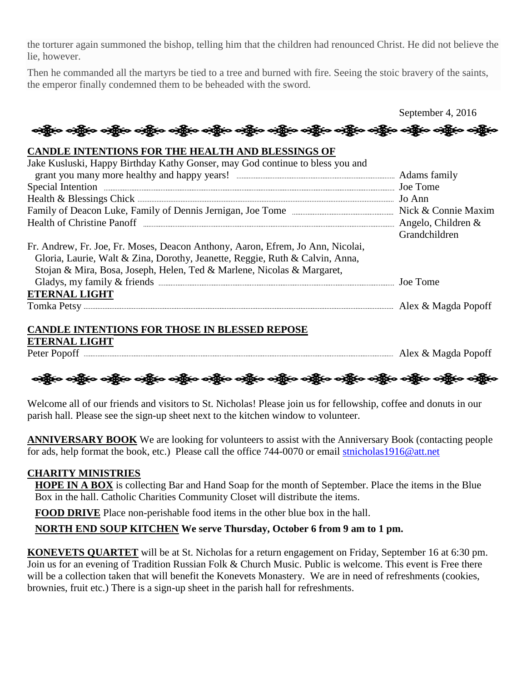the torturer again summoned the bishop, telling him that the children had renounced Christ. He did not believe the lie, however.

Then he commanded all the martyrs be tied to a tree and burned with fire. Seeing the stoic bravery of the saints, the emperor finally condemned them to be beheaded with the sword.

## September 4, 2016 ခရွိက ခရွိက ခရွိက ခရွိက ခရွိက ခရွိက ခရွိက ခရွိက ခရွိက ခရွိက ခရွိက ခရွိက ခရွိက ခရွိက ခရွိက ခရွိက **CANDLE INTENTIONS FOR THE HEALTH AND BLESSINGS OF**  Jake Kusluski, Happy Birthday Kathy Gonser, may God continue to bless you and grant you many more healthy and happy years! Adams family Special Intention  $\Box$  Joe Tome Health & Blessings Chick Jo Ann Family of Deacon Luke, Family of Dennis Jernigan, Joe Tome <sub>manumu</sub> museum Nick & Connie Maxim Health of Christine Panoff (Announcided Angelo, Children & Grandchildren

#### Fr. Andrew, Fr. Joe, Fr. Moses, Deacon Anthony, Aaron, Efrem, Jo Ann, Nicolai, Gloria, Laurie, Walt & Zina, Dorothy, Jeanette, Reggie, Ruth & Calvin, Anna, Stojan & Mira, Bosa, Joseph, Helen, Ted & Marlene, Nicolas & Margaret, Gladys, my family & friends Joe Tome **ETERNAL LIGHT** Tomka Petsy Alex & Magda Popoff

### **CANDLE INTENTIONS FOR THOSE IN BLESSED REPOSE**

**ETERNAL LIGHT**

Peter Popoff Alex & Magda Popoff

# းသည် ပေးတွင် ပန်းပြီး တွင် ပန်းပြီး တွင် ပန်းပြီး တွင် ပန်းပြီး တွင် ပန်းပြီး တွင် ပန်းပြီး တွင် ပန်းပြီး တွင်

Welcome all of our friends and visitors to St. Nicholas! Please join us for fellowship, coffee and donuts in our parish hall. Please see the sign-up sheet next to the kitchen window to volunteer.

**ANNIVERSARY BOOK** We are looking for volunteers to assist with the Anniversary Book (contacting people for ads, help format the book, etc.) Please call the office 744-0070 or email [stnicholas1916@att.net](mailto:stnicholas1916@att.net)

#### **CHARITY MINISTRIES**

**HOPE IN A BOX** is collecting Bar and Hand Soap for the month of September. Place the items in the Blue Box in the hall. Catholic Charities Community Closet will distribute the items.

**FOOD DRIVE** Place non-perishable food items in the other blue box in the hall.

### **NORTH END SOUP KITCHEN We serve Thursday, October 6 from 9 am to 1 pm.**

**KONEVETS QUARTET** will be at St. Nicholas for a return engagement on Friday, September 16 at 6:30 pm. Join us for an evening of Tradition Russian Folk & Church Music. Public is welcome. This event is Free there will be a collection taken that will benefit the Konevets Monastery. We are in need of refreshments (cookies, brownies, fruit etc.) There is a sign-up sheet in the parish hall for refreshments.